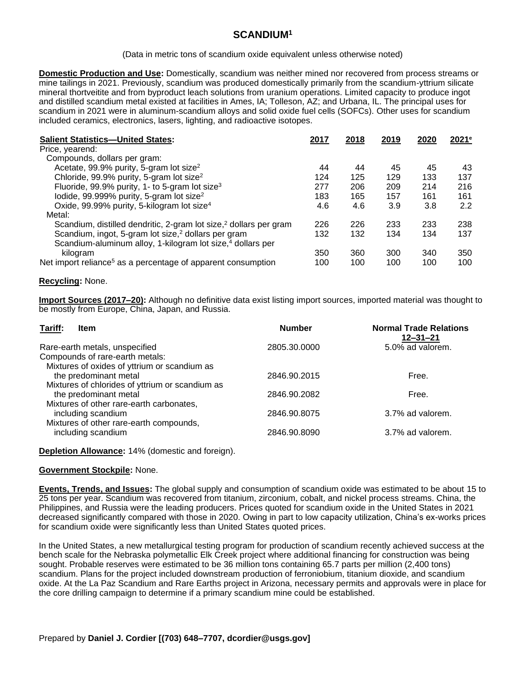## **SCANDIUM<sup>1</sup>**

(Data in metric tons of scandium oxide equivalent unless otherwise noted)

**Domestic Production and Use:** Domestically, scandium was neither mined nor recovered from process streams or mine tailings in 2021. Previously, scandium was produced domestically primarily from the scandium-yttrium silicate mineral thortveitite and from byproduct leach solutions from uranium operations. Limited capacity to produce ingot and distilled scandium metal existed at facilities in Ames, IA; Tolleson, AZ; and Urbana, IL. The principal uses for scandium in 2021 were in aluminum-scandium alloys and solid oxide fuel cells (SOFCs). Other uses for scandium included ceramics, electronics, lasers, lighting, and radioactive isotopes.

| <b>Salient Statistics-United States:</b>                                      | 2017 | 2018 | 2019 | 2020 | 2021e |
|-------------------------------------------------------------------------------|------|------|------|------|-------|
| Price, yearend:                                                               |      |      |      |      |       |
| Compounds, dollars per gram:                                                  |      |      |      |      |       |
| Acetate, 99.9% purity, 5-gram lot size <sup>2</sup>                           | 44   | 44   | 45   | 45   | 43    |
| Chloride, 99.9% purity, 5-gram lot size <sup>2</sup>                          | 124  | 125  | 129  | 133  | 137   |
| Fluoride, 99.9% purity, 1- to 5-gram lot size <sup>3</sup>                    | 277  | 206  | 209  | 214  | 216   |
| lodide, 99.999% purity, 5-gram lot size <sup>2</sup>                          | 183  | 165  | 157  | 161  | 161   |
| Oxide, 99.99% purity, 5-kilogram lot size <sup>4</sup>                        | 4.6  | 4.6  | 3.9  | 3.8  | 2.2   |
| Metal:                                                                        |      |      |      |      |       |
| Scandium, distilled dendritic, 2-gram lot size, <sup>2</sup> dollars per gram | 226  | 226  | 233  | 233  | 238   |
| Scandium, ingot, 5-gram lot size, <sup>2</sup> dollars per gram               | 132  | 132  | 134  | 134  | 137   |
| Scandium-aluminum alloy, 1-kilogram lot size, <sup>4</sup> dollars per        |      |      |      |      |       |
| kilogram                                                                      | 350  | 360  | 300  | 340  | 350   |
| Net import reliance <sup>5</sup> as a percentage of apparent consumption      | 100  | 100  | 100  | 100  | 100   |

## **Recycling:** None.

**Import Sources (2017–20):** Although no definitive data exist listing import sources, imported material was thought to be mostly from Europe, China, Japan, and Russia.

| Tariff:<br><b>Item</b>                                                                                                   | <b>Number</b> | <b>Normal Trade Relations</b><br>$12 - 31 - 21$ |
|--------------------------------------------------------------------------------------------------------------------------|---------------|-------------------------------------------------|
| Rare-earth metals, unspecified<br>Compounds of rare-earth metals:                                                        | 2805.30.0000  | 5.0% ad valorem.                                |
| Mixtures of oxides of yttrium or scandium as<br>the predominant metal<br>Mixtures of chlorides of yttrium or scandium as | 2846.90.2015  | Free.                                           |
| the predominant metal<br>Mixtures of other rare-earth carbonates,                                                        | 2846.90.2082  | Free.                                           |
| including scandium<br>Mixtures of other rare-earth compounds,                                                            | 2846.90.8075  | 3.7% ad valorem.                                |
| including scandium                                                                                                       | 2846.90.8090  | 3.7% ad valorem.                                |

**Depletion Allowance:** 14% (domestic and foreign).

## **Government Stockpile:** None.

**Events, Trends, and Issues:** The global supply and consumption of scandium oxide was estimated to be about 15 to 25 tons per year. Scandium was recovered from titanium, zirconium, cobalt, and nickel process streams. China, the Philippines, and Russia were the leading producers. Prices quoted for scandium oxide in the United States in 2021 decreased significantly compared with those in 2020. Owing in part to low capacity utilization, China's ex-works prices for scandium oxide were significantly less than United States quoted prices.

In the United States, a new metallurgical testing program for production of scandium recently achieved success at the bench scale for the Nebraska polymetallic Elk Creek project where additional financing for construction was being sought. Probable reserves were estimated to be 36 million tons containing 65.7 parts per million (2,400 tons) scandium. Plans for the project included downstream production of ferroniobium, titanium dioxide, and scandium oxide. At the La Paz Scandium and Rare Earths project in Arizona, necessary permits and approvals were in place for the core drilling campaign to determine if a primary scandium mine could be established.